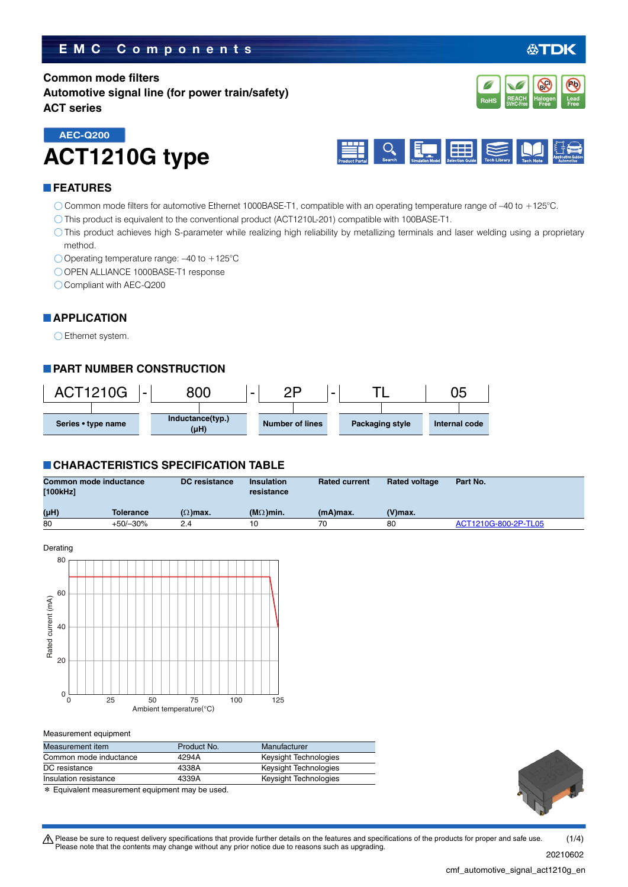# **EMC Components**

# **Common mode filters Automotive signal line (for power train/safety) ACT series**





### **FEATURES**

**AEC-Q200**

- Common mode filters for automotive Ethernet 1000BASE-T1, compatible with an operating temperature range of –40 to +125°C.
- This product is equivalent to the conventional product (ACT1210L-201) compatible with 100BASE-T1.
- This product achieves high S-parameter while realizing high reliability by metallizing terminals and laser welding using a proprietary method.
- Operating temperature range: –40 to +125°C
- O OPEN ALLIANCE 1000BASE-T1 response

**ACT1210G type**

Compliant with AEC-Q200

## **APPLICATION**

Ethernet system.

# **PART NUMBER CONSTRUCTION**



### **CHARACTERISTICS SPECIFICATION TABLE**

| Common mode inductance<br>[100kHz] |            | <b>DC</b> resistance | <b>Insulation</b><br>resistance | <b>Rated current</b> | <b>Rated voltage</b> | Part No.             |
|------------------------------------|------------|----------------------|---------------------------------|----------------------|----------------------|----------------------|
| (µH)                               | Tolerance  | $(\Omega)$ max.      | $(MΩ)$ min.                     | $(mA)$ max.          | $(V)$ max.           |                      |
| 80                                 | $+50/-30%$ | 24                   |                                 | 70                   | 80                   | ACT1210G-800-2P-TL05 |



#### Measurement equipment

| Measurement item       | Product No. | Manufacturer          |
|------------------------|-------------|-----------------------|
| Common mode inductance | 4294A       | Keysight Technologies |
| DC resistance          | 4338A       | Keysight Technologies |
| Insulation resistance  | 4339A       | Keysight Technologies |

\* Equivalent measurement equipment may be used.



**REACH** Halogen Lead<br>SVHC-Free Free Free **RoHS** SVHC-Free **Free Free** 

**Halogen Free Br Cl**

**Pb**

**REACH**

t Please be sure to request delivery specifications that provide further details on the features and specifications of the products for proper and safe use. Please note that the contents may change without any prior notice due to reasons such as upgrading. 20210602  $(1/4)$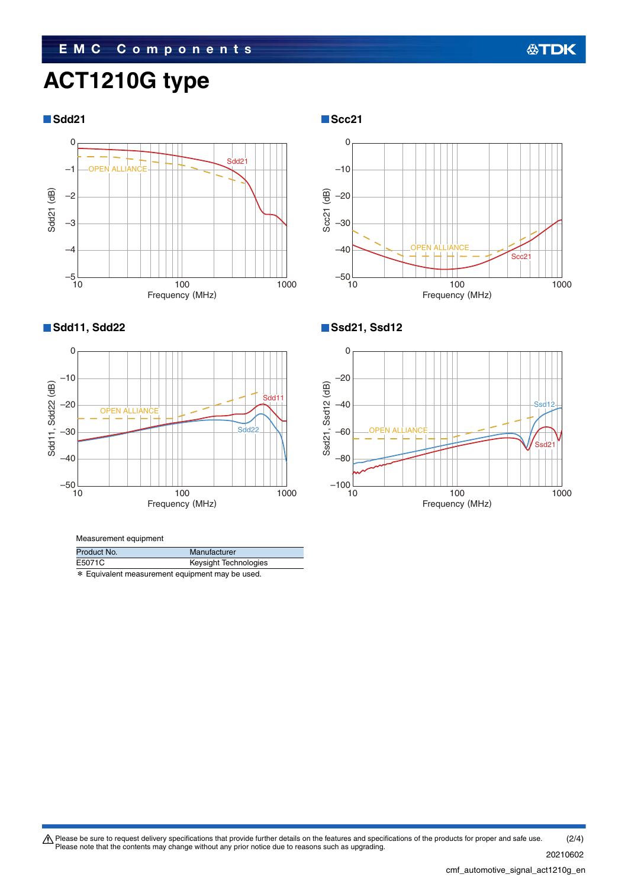# **EMC Components**

# **ACT1210G type**







#### Measurement equipment

| Product No.                                     | Manufacturer          |  |
|-------------------------------------------------|-----------------------|--|
| E5071C                                          | Keysight Technologies |  |
| * Equivalent measurement equipment may be used. |                       |  |

# **Sdd11, Sdd22 Ssd21, Ssd12**



Please be sure to request delivery specifications that provide further details on the features and specifications of the products for proper and safe use.<br>Please note that the contents may change without any prior notice d 20210602 (2/4)

cmf\_automotive\_signal\_act1210g\_en.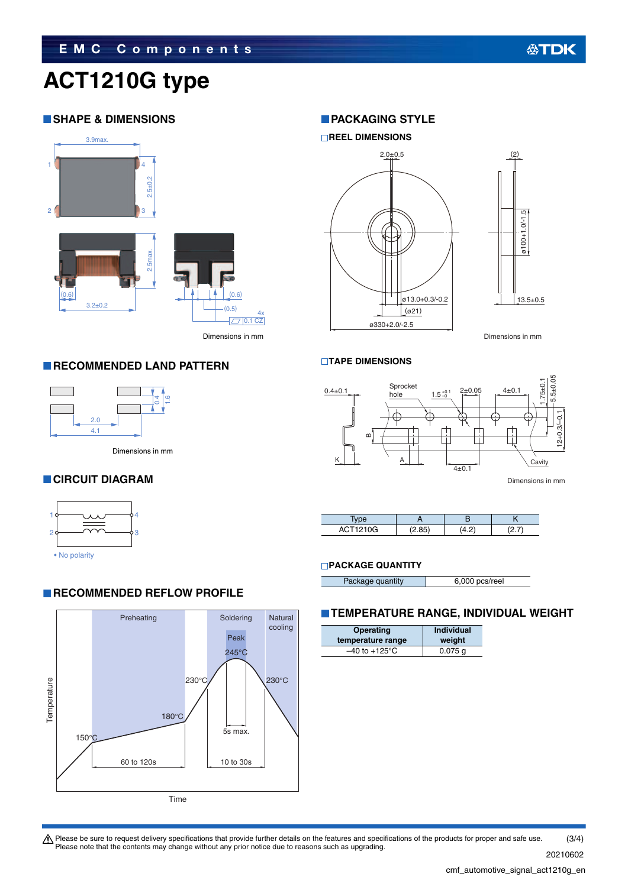# **ACT1210G type**

# **SHAPE & DIMENSIONS**



Dimensions in mm  $(n5)$ (0.6)  $\sqrt{7}$  0.1 CZ 4x

# **RECOMMENDED LAND PATTERN**



Dimensions in mm

# **CIRCUIT DIAGRAM**



• No polarity

# **RECOMMENDED REFLOW PROFILE**



## **PACKAGING STYLE**



Dimensions in mm

### **TAPE DIMENSIONS**



Dimensions in mm

| ACT1210G | $\cdots$ |  |
|----------|----------|--|
| Av.      |          |  |

### **PACKAGE QUANTITY**

|                  | 6,000 pcs/reel |
|------------------|----------------|
| Package quantity |                |

# **TEMPERATURE RANGE, INDIVIDUAL WEIGHT**

| Operating                 | Individual |
|---------------------------|------------|
| temperature range         | weight     |
| $-40$ to $+125^{\circ}$ C | $0.075$ a  |

Please be sure to request delivery specifications that provide further details on the features and specifications of the products for proper and safe use.<br>Please note that the contents may change without any prior notice d 20210602 (3/4)